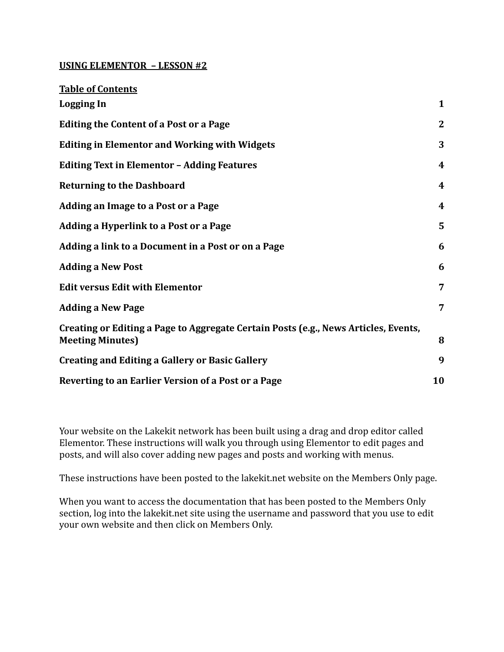#### **USING ELEMENTOR – LESSON #2**

| <b>Table of Contents</b>                                                                                       |              |
|----------------------------------------------------------------------------------------------------------------|--------------|
| <b>Logging In</b>                                                                                              | 1            |
| <b>Editing the Content of a Post or a Page</b>                                                                 | $\mathbf{2}$ |
| <b>Editing in Elementor and Working with Widgets</b>                                                           | 3            |
| <b>Editing Text in Elementor - Adding Features</b>                                                             | 4            |
| <b>Returning to the Dashboard</b>                                                                              | 4            |
| <b>Adding an Image to a Post or a Page</b>                                                                     | 4            |
| Adding a Hyperlink to a Post or a Page                                                                         | 5            |
| Adding a link to a Document in a Post or on a Page                                                             | 6            |
| <b>Adding a New Post</b>                                                                                       | 6            |
| <b>Edit versus Edit with Elementor</b>                                                                         | 7            |
| <b>Adding a New Page</b>                                                                                       | 7            |
| Creating or Editing a Page to Aggregate Certain Posts (e.g., News Articles, Events,<br><b>Meeting Minutes)</b> | 8            |
| <b>Creating and Editing a Gallery or Basic Gallery</b>                                                         | 9            |
| Reverting to an Earlier Version of a Post or a Page                                                            | 10           |

Your website on the Lakekit network has been built using a drag and drop editor called Elementor. These instructions will walk you through using Elementor to edit pages and posts, and will also cover adding new pages and posts and working with menus.

These instructions have been posted to the lakekit.net website on the Members Only page.

When you want to access the documentation that has been posted to the Members Only section, log into the lakekit.net site using the username and password that you use to edit your own website and then click on Members Only.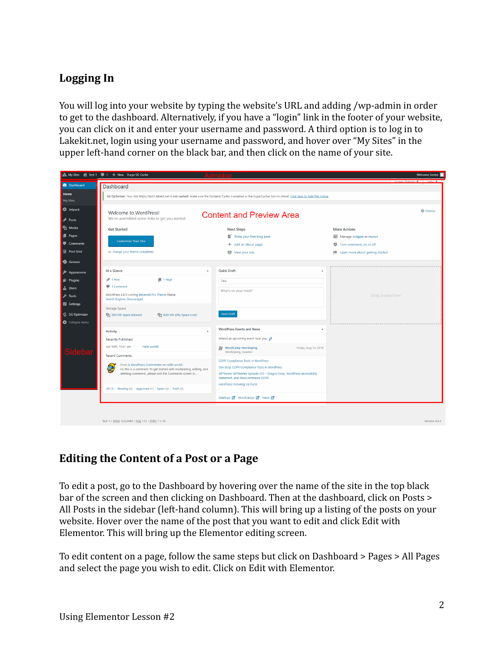## <span id="page-1-0"></span>**Logging In**

You will log into your website by typing the website's URL and adding /wp-admin in order to get to the dashboard. Alternatively, if you have a "login" link in the footer of your website, you can click on it and enter your username and password. A third option is to log in to Lakekit.net, login using your username and password, and hover over "My Sites" in the upper left-hand corner on the black bar, and then click on the name of your site.

|                            | ▲ My Sites  音 Test-1 ■ 0 + New Purge SG Cache                                                                                                                              |                                                                                           | Welcome, kester                       |  |  |  |  |  |
|----------------------------|----------------------------------------------------------------------------------------------------------------------------------------------------------------------------|-------------------------------------------------------------------------------------------|---------------------------------------|--|--|--|--|--|
| <b>2</b> Dashboard         | Dashboard                                                                                                                                                                  |                                                                                           |                                       |  |  |  |  |  |
| Home<br><b>My Sites</b>    | SG Optimizer: Your site https://test1.lakekit.net is not cached! Make sure the Dynamic Cache is enabled in the SuperCacher tool in cPanel. Click here to hide this notice. |                                                                                           |                                       |  |  |  |  |  |
| <b>CD</b> Jetpack          | Welcome to WordPress!                                                                                                                                                      | <b>@</b> Dismiss                                                                          |                                       |  |  |  |  |  |
| $*$ Posts                  | <b>Content and Preview Area</b><br>We've assembled some links to get you started:                                                                                          |                                                                                           |                                       |  |  |  |  |  |
| <b>P<sub>1</sub></b> Media | <b>Get Started</b>                                                                                                                                                         | <b>Next Steps</b>                                                                         | <b>More Actions</b>                   |  |  |  |  |  |
| <b>I</b> Pages             |                                                                                                                                                                            | Write your first blog post                                                                | Manage widgets or menus               |  |  |  |  |  |
| Comments                   | <b>Customize Your Site</b>                                                                                                                                                 | + Add an About page                                                                       | <b>E3</b> Turn comments on or off     |  |  |  |  |  |
| <b>B</b> Post Grid         | or, change your theme completely                                                                                                                                           | View your site                                                                            | Learn more about getting started<br>食 |  |  |  |  |  |
| <b>G</b> Genesis           |                                                                                                                                                                            |                                                                                           |                                       |  |  |  |  |  |
| Appearance                 | At a Glance                                                                                                                                                                | <b>Quick Draft</b><br>٠                                                                   |                                       |  |  |  |  |  |
| Plugins                    | $\blacksquare$ 1 Page<br>$*$ 1 Post                                                                                                                                        | Title                                                                                     |                                       |  |  |  |  |  |
| <b>L</b> Users             | 1 Comment                                                                                                                                                                  | What's on your mind?                                                                      |                                       |  |  |  |  |  |
| $\sqrt{10}$ Tools          | WordPress 4.9.5 running eleven40 Pro Theme theme.<br><b>Search Engines Discouraged</b>                                                                                     |                                                                                           | Drag boxes here                       |  |  |  |  |  |
| <b>En</b> Settings         | <b>Storage Space</b>                                                                                                                                                       |                                                                                           |                                       |  |  |  |  |  |
| SG Optimizer               | 300 MB Space Allowed<br>91 0.00 MB (0%) Space Used                                                                                                                         | <b>Save Draft</b>                                                                         |                                       |  |  |  |  |  |
| Collapse menu              |                                                                                                                                                                            |                                                                                           |                                       |  |  |  |  |  |
|                            | <b>Activity</b>                                                                                                                                                            | <b>WordPress Events and News</b><br>٨<br>$\Delta$                                         |                                       |  |  |  |  |  |
| led                        | <b>Recently Published</b>                                                                                                                                                  | Attend an upcoming event near you.                                                        |                                       |  |  |  |  |  |
|                            | Apr 10th, 10:01 am<br>Hello world!                                                                                                                                         | WordCamp Norrköping<br>Friday, Aug 10, 2018<br>Norrköping, Sweden                         |                                       |  |  |  |  |  |
|                            | <b>Recent Comments</b>                                                                                                                                                     |                                                                                           |                                       |  |  |  |  |  |
|                            | From A WordPress Commenter on Hello world!<br>Ö.                                                                                                                           | <b>GDPR Compliance Tools in WordPress</b><br>Dev Blog: GDPR Compliance Tools in WordPress |                                       |  |  |  |  |  |
|                            | Hi, this is a comment. To get started with moderating, editing, and<br>deleting comments, please visit the Comments screen in                                              | WPTavern: WPWeekly Episode 312 - Dragon Drop, WordPress Accessibility                     |                                       |  |  |  |  |  |
|                            |                                                                                                                                                                            | Statement, and WooCommerce GDPR<br>HeroPress: Growing Up Rural                            |                                       |  |  |  |  |  |
|                            | All (1)   Pending (0)   Approved (1)   Spam (0)   Trash (0)                                                                                                                |                                                                                           |                                       |  |  |  |  |  |
|                            |                                                                                                                                                                            | Meetups 2   WordCamps 2   News 2                                                          |                                       |  |  |  |  |  |
|                            |                                                                                                                                                                            |                                                                                           |                                       |  |  |  |  |  |
|                            |                                                                                                                                                                            |                                                                                           |                                       |  |  |  |  |  |
|                            | Test-1 · RAM 12,0/64M · SQL 112 · PHPv 7.1.16                                                                                                                              |                                                                                           | Version 4.9.5                         |  |  |  |  |  |

### <span id="page-1-1"></span>**Editing the Content of a Post or a Page**

To edit a post, go to the Dashboard by hovering over the name of the site in the top black bar of the screen and then clicking on Dashboard. Then at the dashboard, click on Posts > All Posts in the sidebar (left-hand column). This will bring up a listing of the posts on your website. Hover over the name of the post that you want to edit and click Edit with Elementor. This will bring up the Elementor editing screen.

To edit content on a page, follow the same steps but click on Dashboard > Pages > All Pages and select the page you wish to edit. Click on Edit with Elementor.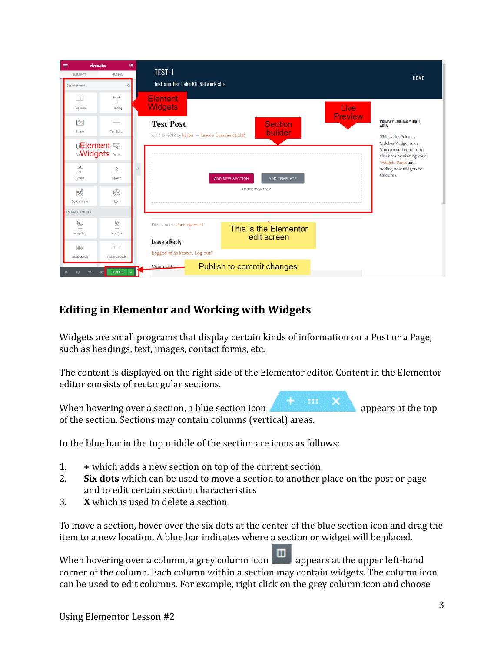| elementor<br>$\equiv$                                                                | 冊                         |                                                   |                                        |                        |                                                                                                                                          |
|--------------------------------------------------------------------------------------|---------------------------|---------------------------------------------------|----------------------------------------|------------------------|------------------------------------------------------------------------------------------------------------------------------------------|
| <b>ELEMENTS</b>                                                                      | <b>GLOBAL</b>             | TEST-1                                            |                                        |                        | <b>HOME</b>                                                                                                                              |
| Search Widget.                                                                       |                           | Just another Lake Kit Network site                |                                        |                        |                                                                                                                                          |
| ≣≣<br>Columns                                                                        | $\mathbb{T}$<br>Heading   | <b>Element</b><br><b>Widgets</b>                  |                                        | Live<br><b>Preview</b> |                                                                                                                                          |
| 网                                                                                    | ≣                         | <b>Test Post</b>                                  | <b>Section</b>                         |                        | <b>PRIMARY SIDEBAR WIDGET</b><br><b>AREA</b>                                                                                             |
| Image                                                                                | <b>Text Editor</b>        | April 15, 2018 by kester - Leave a Comment (Edit) | builder                                |                        | This is the Primary                                                                                                                      |
| <b>t⊞ement</b> क<br><b>VidWidgets</b> Button<br>$\frac{\Delta}{\sqrt{2}}$<br>Divider | $\sqrt{3}$<br>Spacer      |                                                   | <b>ADD NEW SECTION</b><br>ADD TEMPLATE |                        | Sidebar Widget Area.<br>You can add content to<br>this area by visiting your<br>Widgets Panel and<br>adding new widgets to<br>this area. |
| 网<br>Google Maps                                                                     | ⊛<br>Icon                 |                                                   | Or drag widget here                    |                        |                                                                                                                                          |
| <b>GENERAL ELEMENTS</b>                                                              |                           |                                                   |                                        |                        |                                                                                                                                          |
| ≝                                                                                    | $\subseteqq$              | Filed Under: Uncategorized                        | This is the Elementor                  |                        |                                                                                                                                          |
| <b>Image Box</b><br>噩                                                                | <b>Icon Box</b><br>$\Box$ | <b>Leave a Reply</b>                              | edit screen                            |                        |                                                                                                                                          |
| <b>Image Gallery</b>                                                                 | <b>Image Carousel</b>     | Logged in as kester. Log out?                     |                                        |                        |                                                                                                                                          |
| உ                                                                                    | PUBLISH<br>®              | <b>Comment</b>                                    | Publish to commit changes              |                        |                                                                                                                                          |

# <span id="page-2-0"></span>**Editing in Elementor and Working with Widgets**

Widgets are small programs that display certain kinds of information on a Post or a Page, such as headings, text, images, contact forms, etc.

The content is displayed on the right side of the Elementor editor. Content in the Elementor editor consists of rectangular sections.

When hovering over a section, a blue section icon **and the section is appears at the top** of the section. Sections may contain columns (vertical) areas.

In the blue bar in the top middle of the section are icons as follows:

- 1. **+** which adds a new section on top of the current section
- 2. **Six dots** which can be used to move a section to another place on the post or page and to edit certain section characteristics
- 3. **X** which is used to delete a section

To move a section, hover over the six dots at the center of the blue section icon and drag the item to a new location. A blue bar indicates where a section or widget will be placed.

When hovering over a column, a grey column icon  $\Box$  appears at the upper left-hand corner of the column. Each column within a section may contain widgets. The column icon can be used to edit columns. For example, right click on the grey column icon and choose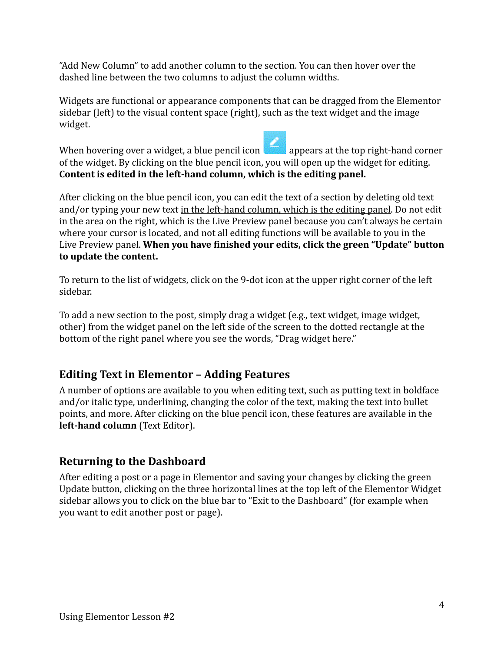"Add New Column" to add another column to the section. You can then hover over the dashed line between the two columns to adjust the column widths.

Widgets are functional or appearance components that can be dragged from the Elementor sidebar (left) to the visual content space (right), such as the text widget and the image widget.

When hovering over a widget, a blue pencil icon appears at the top right-hand corner of the widget. By clicking on the blue pencil icon, you will open up the widget for editing. **Content is edited in the left-hand column, which is the editing panel.**

After clicking on the blue pencil icon, you can edit the text of a section by deleting old text and/or typing your new text in the left-hand column, which is the editing panel. Do not edit in the area on the right, which is the Live Preview panel because you can't always be certain where your cursor is located, and not all editing functions will be available to you in the Live Preview panel. **When you have finished your edits, click the green "Update" button to update the content.**

To return to the list of widgets, click on the 9-dot icon at the upper right corner of the left sidebar.

To add a new section to the post, simply drag a widget (e.g., text widget, image widget, other) from the widget panel on the left side of the screen to the dotted rectangle at the bottom of the right panel where you see the words, "Drag widget here."

# <span id="page-3-0"></span>**Editing Text in Elementor – Adding Features**

A number of options are available to you when editing text, such as putting text in boldface and/or italic type, underlining, changing the color of the text, making the text into bullet points, and more. After clicking on the blue pencil icon, these features are available in the **left-hand column** (Text Editor).

### <span id="page-3-1"></span>**Returning to the Dashboard**

After editing a post or a page in Elementor and saving your changes by clicking the green Update button, clicking on the three horizontal lines at the top left of the Elementor Widget sidebar allows you to click on the blue bar to "Exit to the Dashboard" (for example when you want to edit another post or page).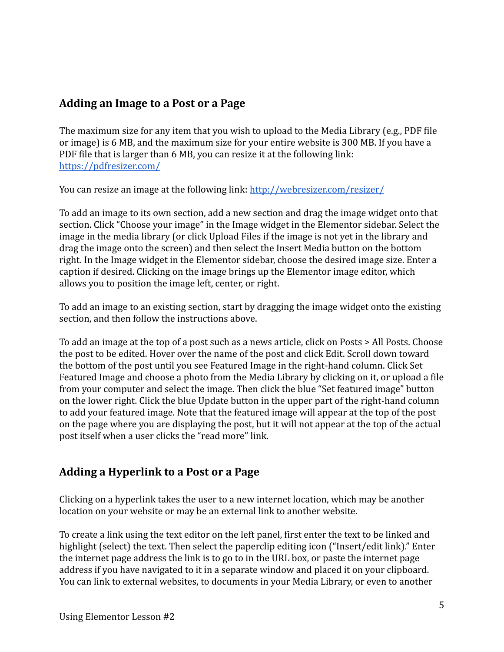## <span id="page-4-0"></span>**Adding an Image to a Post or a Page**

The maximum size for any item that you wish to upload to the Media Library (e.g., PDF file or image) is 6 MB, and the maximum size for your entire website is 300 MB. If you have a PDF file that is larger than 6 MB, you can resize it at the following link: <https://pdfresizer.com/>

You can resize an image at the following link: <http://webresizer.com/resizer/>

To add an image to its own section, add a new section and drag the image widget onto that section. Click "Choose your image" in the Image widget in the Elementor sidebar. Select the image in the media library (or click Upload Files if the image is not yet in the library and drag the image onto the screen) and then select the Insert Media button on the bottom right. In the Image widget in the Elementor sidebar, choose the desired image size. Enter a caption if desired. Clicking on the image brings up the Elementor image editor, which allows you to position the image left, center, or right.

To add an image to an existing section, start by dragging the image widget onto the existing section, and then follow the instructions above.

To add an image at the top of a post such as a news article, click on Posts > All Posts. Choose the post to be edited. Hover over the name of the post and click Edit. Scroll down toward the bottom of the post until you see Featured Image in the right-hand column. Click Set Featured Image and choose a photo from the Media Library by clicking on it, or upload a file from your computer and select the image. Then click the blue "Set featured image" button on the lower right. Click the blue Update button in the upper part of the right-hand column to add your featured image. Note that the featured image will appear at the top of the post on the page where you are displaying the post, but it will not appear at the top of the actual post itself when a user clicks the "read more" link.

# <span id="page-4-1"></span>**Adding a Hyperlink to a Post or a Page**

Clicking on a hyperlink takes the user to a new internet location, which may be another location on your website or may be an external link to another website.

To create a link using the text editor on the left panel, first enter the text to be linked and highlight (select) the text. Then select the paperclip editing icon ("Insert/edit link)." Enter the internet page address the link is to go to in the URL box, or paste the internet page address if you have navigated to it in a separate window and placed it on your clipboard. You can link to external websites, to documents in your Media Library, or even to another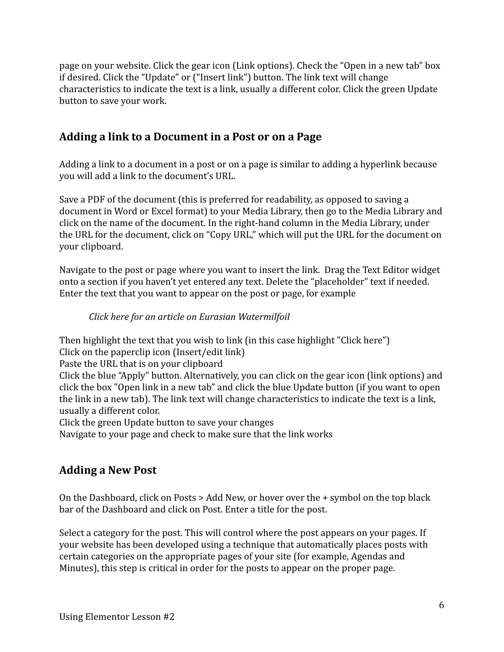page on your website. Click the gear icon (Link options). Check the "Open in a new tab" box if desired. Click the "Update" or ("Insert link") button. The link text will change characteristics to indicate the text is a link, usually a different color. Click the green Update button to save your work.

## <span id="page-5-0"></span>**Adding a link to a Document in a Post or on a Page**

Adding a link to a document in a post or on a page is similar to adding a hyperlink because you will add a link to the document's URL.

Save a PDF of the document (this is preferred for readability, as opposed to saving a document in Word or Excel format) to your Media Library, then go to the Media Library and click on the name of the document. In the right-hand column in the Media Library, under the URL for the document, click on "Copy URL," which will put the URL for the document on your clipboard.

Navigate to the post or page where you want to insert the link. Drag the Text Editor widget onto a section if you haven't yet entered any text. Delete the "placeholder" text if needed. Enter the text that you want to appear on the post or page, for example

### *Click here for an article on Eurasian Watermilfoil*

Then highlight the text that you wish to link (in this case highlight "Click here")

Click on the paperclip icon (Insert/edit link)

Paste the URL that is on your clipboard

Click the blue "Apply" button. Alternatively, you can click on the gear icon (link options) and click the box "Open link in a new tab" and click the blue Update button (if you want to open the link in a new tab). The link text will change characteristics to indicate the text is a link, usually a different color.

Click the green Update button to save your changes

Navigate to your page and check to make sure that the link works

# <span id="page-5-1"></span>**Adding a New Post**

On the Dashboard, click on Posts > Add New, or hover over the + symbol on the top black bar of the Dashboard and click on Post. Enter a title for the post.

Select a category for the post. This will control where the post appears on your pages. If your website has been developed using a technique that automatically places posts with certain categories on the appropriate pages of your site (for example, Agendas and Minutes), this step is critical in order for the posts to appear on the proper page.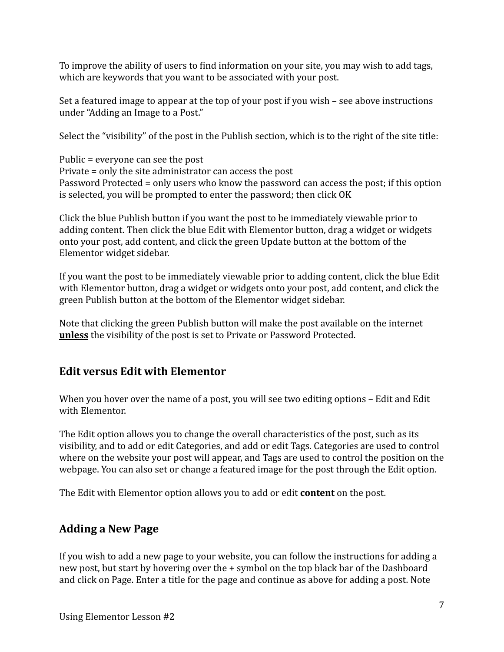To improve the ability of users to find information on your site, you may wish to add tags, which are keywords that you want to be associated with your post.

Set a featured image to appear at the top of your post if you wish – see above instructions under "Adding an Image to a Post."

Select the "visibility" of the post in the Publish section, which is to the right of the site title:

Public = everyone can see the post Private = only the site administrator can access the post Password Protected = only users who know the password can access the post; if this option is selected, you will be prompted to enter the password; then click OK

Click the blue Publish button if you want the post to be immediately viewable prior to adding content. Then click the blue Edit with Elementor button, drag a widget or widgets onto your post, add content, and click the green Update button at the bottom of the Elementor widget sidebar.

If you want the post to be immediately viewable prior to adding content, click the blue Edit with Elementor button, drag a widget or widgets onto your post, add content, and click the green Publish button at the bottom of the Elementor widget sidebar.

Note that clicking the green Publish button will make the post available on the internet **unless** the visibility of the post is set to Private or Password Protected.

### <span id="page-6-0"></span>**Edit versus Edit with Elementor**

When you hover over the name of a post, you will see two editing options – Edit and Edit with Elementor.

The Edit option allows you to change the overall characteristics of the post, such as its visibility, and to add or edit Categories, and add or edit Tags. Categories are used to control where on the website your post will appear, and Tags are used to control the position on the webpage. You can also set or change a featured image for the post through the Edit option.

The Edit with Elementor option allows you to add or edit **content** on the post.

# <span id="page-6-1"></span>**Adding a New Page**

If you wish to add a new page to your website, you can follow the instructions for adding a new post, but start by hovering over the + symbol on the top black bar of the Dashboard and click on Page. Enter a title for the page and continue as above for adding a post. Note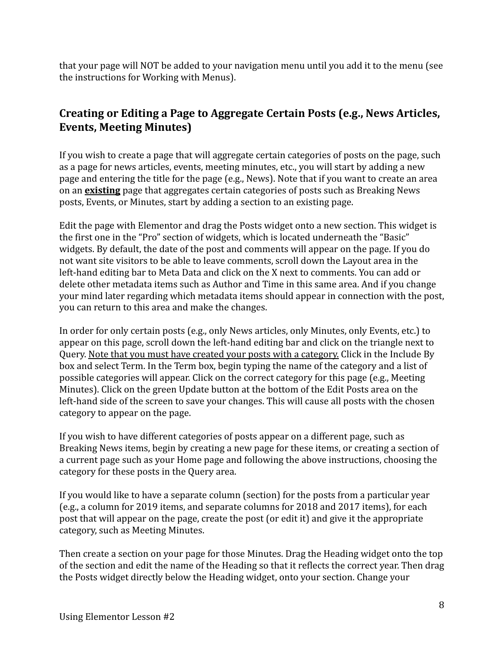that your page will NOT be added to your navigation menu until you add it to the menu (see the instructions for Working with Menus).

## <span id="page-7-0"></span>**Creating or Editing a Page to Aggregate Certain Posts (e.g., News Articles, Events, Meeting Minutes)**

If you wish to create a page that will aggregate certain categories of posts on the page, such as a page for news articles, events, meeting minutes, etc., you will start by adding a new page and entering the title for the page (e.g., News). Note that if you want to create an area on an **existing** page that aggregates certain categories of posts such as Breaking News posts, Events, or Minutes, start by adding a section to an existing page.

Edit the page with Elementor and drag the Posts widget onto a new section. This widget is the first one in the "Pro" section of widgets, which is located underneath the "Basic" widgets. By default, the date of the post and comments will appear on the page. If you do not want site visitors to be able to leave comments, scroll down the Layout area in the left-hand editing bar to Meta Data and click on the X next to comments. You can add or delete other metadata items such as Author and Time in this same area. And if you change your mind later regarding which metadata items should appear in connection with the post, you can return to this area and make the changes.

In order for only certain posts (e.g., only News articles, only Minutes, only Events, etc.) to appear on this page, scroll down the left-hand editing bar and click on the triangle next to Query. Note that you must have created your posts with a category. Click in the Include By box and select Term. In the Term box, begin typing the name of the category and a list of possible categories will appear. Click on the correct category for this page (e.g., Meeting Minutes). Click on the green Update button at the bottom of the Edit Posts area on the left-hand side of the screen to save your changes. This will cause all posts with the chosen category to appear on the page.

If you wish to have different categories of posts appear on a different page, such as Breaking News items, begin by creating a new page for these items, or creating a section of a current page such as your Home page and following the above instructions, choosing the category for these posts in the Query area.

If you would like to have a separate column (section) for the posts from a particular year (e.g., a column for 2019 items, and separate columns for 2018 and 2017 items), for each post that will appear on the page, create the post (or edit it) and give it the appropriate category, such as Meeting Minutes.

Then create a section on your page for those Minutes. Drag the Heading widget onto the top of the section and edit the name of the Heading so that it reflects the correct year. Then drag the Posts widget directly below the Heading widget, onto your section. Change your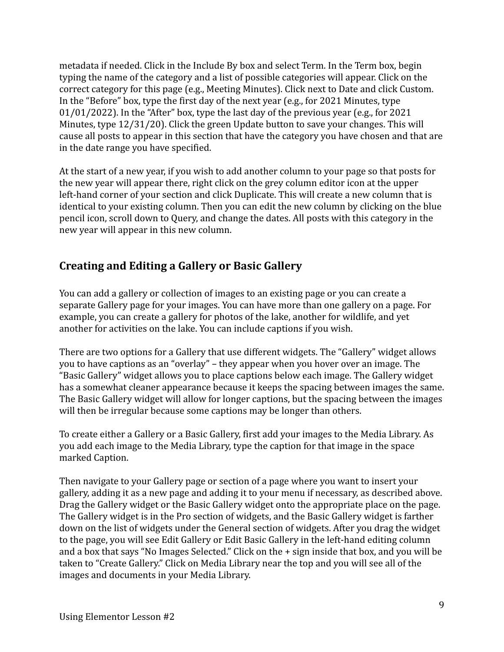metadata if needed. Click in the Include By box and select Term. In the Term box, begin typing the name of the category and a list of possible categories will appear. Click on the correct category for this page (e.g., Meeting Minutes). Click next to Date and click Custom. In the "Before" box, type the first day of the next year (e.g., for 2021 Minutes, type 01/01/2022). In the "After" box, type the last day of the previous year (e.g., for 2021 Minutes, type 12/31/20). Click the green Update button to save your changes. This will cause all posts to appear in this section that have the category you have chosen and that are in the date range you have specified.

At the start of a new year, if you wish to add another column to your page so that posts for the new year will appear there, right click on the grey column editor icon at the upper left-hand corner of your section and click Duplicate. This will create a new column that is identical to your existing column. Then you can edit the new column by clicking on the blue pencil icon, scroll down to Query, and change the dates. All posts with this category in the new year will appear in this new column.

## <span id="page-8-0"></span>**Creating and Editing a Gallery or Basic Gallery**

You can add a gallery or collection of images to an existing page or you can create a separate Gallery page for your images. You can have more than one gallery on a page. For example, you can create a gallery for photos of the lake, another for wildlife, and yet another for activities on the lake. You can include captions if you wish.

There are two options for a Gallery that use different widgets. The "Gallery" widget allows you to have captions as an "overlay" – they appear when you hover over an image. The "Basic Gallery" widget allows you to place captions below each image. The Gallery widget has a somewhat cleaner appearance because it keeps the spacing between images the same. The Basic Gallery widget will allow for longer captions, but the spacing between the images will then be irregular because some captions may be longer than others.

To create either a Gallery or a Basic Gallery, first add your images to the Media Library. As you add each image to the Media Library, type the caption for that image in the space marked Caption.

Then navigate to your Gallery page or section of a page where you want to insert your gallery, adding it as a new page and adding it to your menu if necessary, as described above. Drag the Gallery widget or the Basic Gallery widget onto the appropriate place on the page. The Gallery widget is in the Pro section of widgets, and the Basic Gallery widget is farther down on the list of widgets under the General section of widgets. After you drag the widget to the page, you will see Edit Gallery or Edit Basic Gallery in the left-hand editing column and a box that says "No Images Selected." Click on the + sign inside that box, and you will be taken to "Create Gallery." Click on Media Library near the top and you will see all of the images and documents in your Media Library.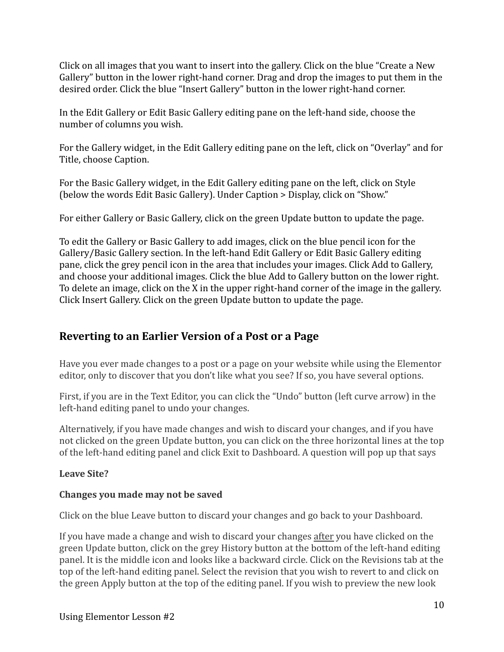Click on all images that you want to insert into the gallery. Click on the blue "Create a New Gallery" button in the lower right-hand corner. Drag and drop the images to put them in the desired order. Click the blue "Insert Gallery" button in the lower right-hand corner.

In the Edit Gallery or Edit Basic Gallery editing pane on the left-hand side, choose the number of columns you wish.

For the Gallery widget, in the Edit Gallery editing pane on the left, click on "Overlay" and for Title, choose Caption.

For the Basic Gallery widget, in the Edit Gallery editing pane on the left, click on Style (below the words Edit Basic Gallery). Under Caption > Display, click on "Show."

For either Gallery or Basic Gallery, click on the green Update button to update the page.

To edit the Gallery or Basic Gallery to add images, click on the blue pencil icon for the Gallery/Basic Gallery section. In the left-hand Edit Gallery or Edit Basic Gallery editing pane, click the grey pencil icon in the area that includes your images. Click Add to Gallery, and choose your additional images. Click the blue Add to Gallery button on the lower right. To delete an image, click on the X in the upper right-hand corner of the image in the gallery. Click Insert Gallery. Click on the green Update button to update the page.

# <span id="page-9-0"></span>**Reverting to an Earlier Version of a Post or a Page**

Have you ever made changes to a post or a page on your website while using the Elementor editor, only to discover that you don't like what you see? If so, you have several options.

First, if you are in the Text Editor, you can click the "Undo" button (left curve arrow) in the left-hand editing panel to undo your changes.

Alternatively, if you have made changes and wish to discard your changes, and if you have not clicked on the green Update button, you can click on the three horizontal lines at the top of the left-hand editing panel and click Exit to Dashboard. A question will pop up that says

### **Leave Site?**

### **Changes you made may not be saved**

Click on the blue Leave button to discard your changes and go back to your Dashboard.

If you have made a change and wish to discard your changes after you have clicked on the green Update button, click on the grey History button at the bottom of the left-hand editing panel. It is the middle icon and looks like a backward circle. Click on the Revisions tab at the top of the left-hand editing panel. Select the revision that you wish to revert to and click on the green Apply button at the top of the editing panel. If you wish to preview the new look